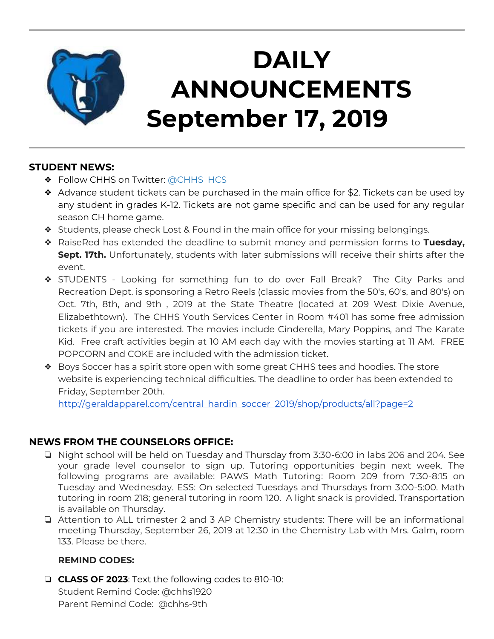

# **DAILY ANNOUNCEMENTS September 17, 2019**

#### **STUDENT NEWS:**

- ❖ Follow CHHS on Twitter: [@CHHS\\_HCS](https://twitter.com/CHHS_HCS)
- ❖ Advance student tickets can be purchased in the main office for \$2. Tickets can be used by any student in grades K-12. Tickets are not game specific and can be used for any regular season CH home game.
- ❖ Students, please check Lost & Found in the main office for your missing belongings.
- ❖ RaiseRed has extended the deadline to submit money and permission forms to **Tuesday, Sept. 17th.** Unfortunately, students with later submissions will receive their shirts after the event.
- ❖ STUDENTS Looking for something fun to do over Fall Break? The City Parks and Recreation Dept. is sponsoring a Retro Reels (classic movies from the 50's, 60's, and 80's) on Oct. 7th, 8th, and 9th , 2019 at the State Theatre (located at 209 West Dixie Avenue, Elizabethtown). The CHHS Youth Services Center in Room #401 has some free admission tickets if you are interested. The movies include Cinderella, Mary Poppins, and The Karate Kid. Free craft activities begin at 10 AM each day with the movies starting at 11 AM. FREE POPCORN and COKE are included with the admission ticket.
- ❖ Boys Soccer has a spirit store open with some great CHHS tees and hoodies. The store website is experiencing technical difficulties. The deadline to order has been extended to Friday, September 20th.

[http://geraldapparel.com/central\\_hardin\\_soccer\\_2019/shop/products/all?page=2](http://geraldapparel.com/central_hardin_soccer_2019/shop/products/all?page=2) 

### **NEWS FROM THE COUNSELORS OFFICE:**

- ❏ Night school will be held on Tuesday and Thursday from 3:30-6:00 in labs 206 and 204. See your grade level counselor to sign up. Tutoring opportunities begin next week. The following programs are available: PAWS Math Tutoring: Room 209 from 7:30-8:15 on Tuesday and Wednesday. ESS: On selected Tuesdays and Thursdays from 3:00-5:00. Math tutoring in room 218; general tutoring in room 120. A light snack is provided. Transportation is available on Thursday.
- ❏ Attention to ALL trimester 2 and 3 AP Chemistry students: There will be an informational meeting Thursday, September 26, 2019 at 12:30 in the Chemistry Lab with Mrs. Galm, room 133. Please be there.

### **REMIND CODES:**

❏ **CLASS OF 2023**: Text the following codes to 810-10: Student Remind Code: @chhs1920 Parent Remind Code: @chhs-9th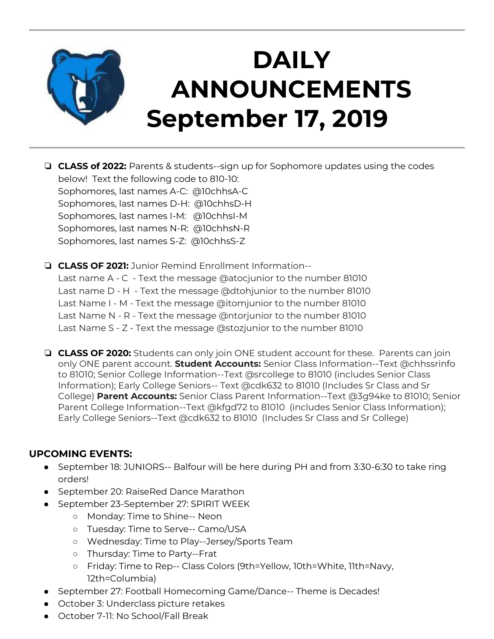

# **DAILY ANNOUNCEMENTS September 17, 2019**

- ❏ **CLASS of 2022:** Parents & students--sign up for Sophomore updates using the codes below! Text the following code to 810-10: Sophomores, last names A-C: @10chhsA-C Sophomores, last names D-H: @10chhsD-H Sophomores, last names I-M: @10chhsI-M Sophomores, last names N-R: @10chhsN-R Sophomores, last names S-Z: @10chhsS-Z
- ❏ **CLASS OF 2021:** Junior Remind Enrollment Information-- Last name A - C - Text the message @atocjunior to the number 81010 Last name D - H - Text the message @dtohjunior to the number 81010 Last Name I - M - Text the message @itomjunior to the number 81010 Last Name N - R - Text the message @ntorjunior to the number 81010 Last Name S - Z - Text the message @stozjunior to the number 81010
- ❏ **CLASS OF 2020:** Students can only join ONE student account for these. Parents can join only ONE parent account. **Student Accounts:** Senior Class Information--Text @chhssrinfo to 81010; Senior College Information--Text @srcollege to 81010 (includes Senior Class Information); Early College Seniors-- Text @cdk632 to 81010 (Includes Sr Class and Sr College) **Parent Accounts:** Senior Class Parent Information--Text @3g94ke to 81010; Senior Parent College Information--Text @kfgd72 to 81010 (includes Senior Class Information); Early College Seniors--Text @cdk632 to 81010 (Includes Sr Class and Sr College)

#### **UPCOMING EVENTS:**

- September 18: JUNIORS-- Balfour will be here during PH and from 3:30-6:30 to take ring orders!
- September 20: RaiseRed Dance Marathon
- September 23-September 27: SPIRIT WEEK
	- Monday: Time to Shine-- Neon
	- Tuesday: Time to Serve-- Camo/USA
	- Wednesday: Time to Play--Jersey/Sports Team
	- Thursday: Time to Party--Frat
	- Friday: Time to Rep-- Class Colors (9th=Yellow, 10th=White, 11th=Navy, 12th=Columbia)
- September 27: Football Homecoming Game/Dance-- Theme is Decades!
- October 3: Underclass picture retakes
- October 7-11: No School/Fall Break